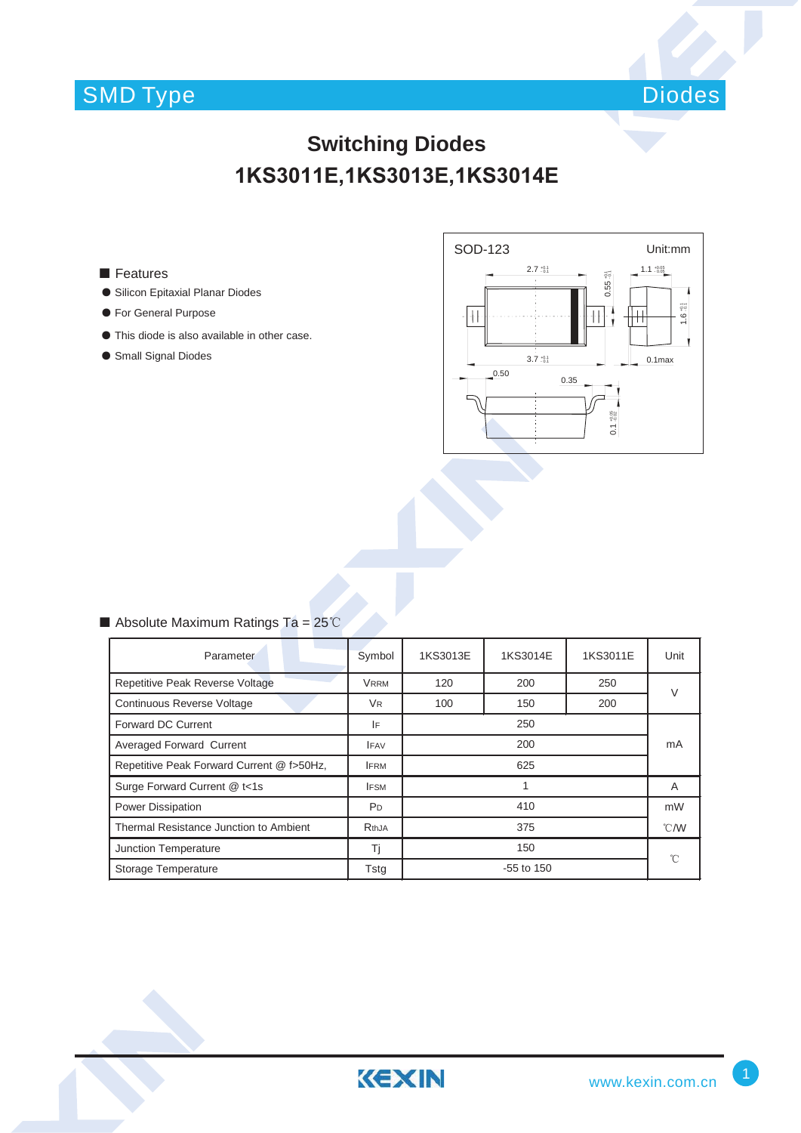# SMD Type



### **Switching Diodes 1KS3011E,1KS3013E,1KS3014E**

### ■ Features

- ƽ Silicon Epitaxial Planar Diodes
- ƽ For General Purpose
- ƽ This diode is also available in other case.
- ƽ Small Signal Diodes



### Absolute Maximum Ratings Ta =  $25^{\circ}$ C

| Parameter                                 | Symbol         | 1KS3013E          | 1KS3014E | 1KS3011E | Unit              |
|-------------------------------------------|----------------|-------------------|----------|----------|-------------------|
| Repetitive Peak Reverse Voltage           | Vrrm           | 200<br>250<br>120 |          |          | V                 |
| Continuous Reverse Voltage                | V <sub>R</sub> | 100               | 150      | 200      |                   |
| <b>Forward DC Current</b>                 | IF             | 250               |          |          |                   |
| Averaged Forward Current                  | <b>IFAV</b>    | 200               |          |          | mA                |
| Repetitive Peak Forward Current @ f>50Hz, | <b>IFRM</b>    | 625               |          |          |                   |
| Surge Forward Current @ t<1s              | <b>IFSM</b>    |                   |          |          | A                 |
| <b>Power Dissipation</b>                  | P <sub>D</sub> | 410               |          |          | mW                |
| Thermal Resistance Junction to Ambient    | RthJA          | 375               |          |          | $\degree$ C/W     |
| Junction Temperature                      | Τi             | 150               |          |          | $^{\circ}$ $\cap$ |
| Storage Temperature                       | Tstg           | $-55$ to 150      |          |          |                   |

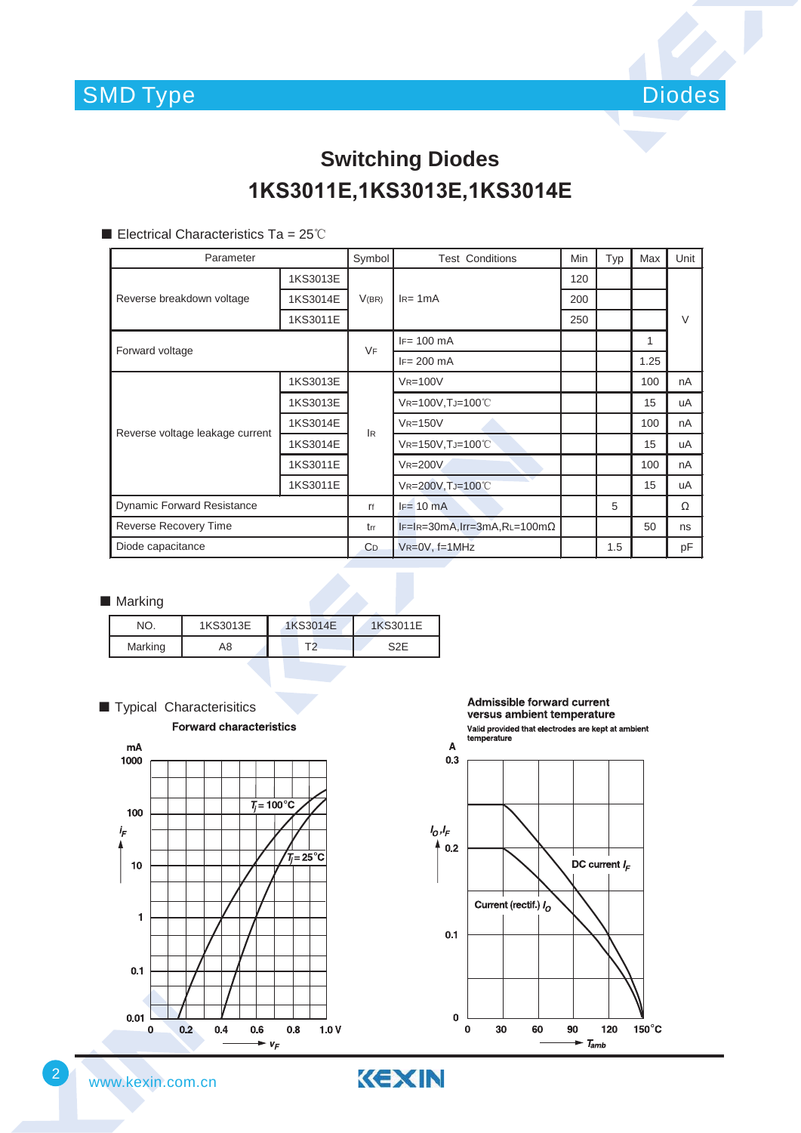

### **Switching Diodes 1KS3011E,1KS3013E,1KS3014E**

Electrical Characteristics Ta =  $25^{\circ}$ C

| Parameter                         |          | Symbol         | <b>Test Conditions</b>               | Min | Typ | Max  | Unit   |
|-----------------------------------|----------|----------------|--------------------------------------|-----|-----|------|--------|
| Reverse breakdown voltage         | 1KS3013E | V(BR)          | $IR= 1mA$                            | 120 |     |      |        |
|                                   | 1KS3014E |                |                                      | 200 |     |      |        |
|                                   | 1KS3011E |                |                                      | 250 |     |      | $\vee$ |
| Forward voltage                   |          | <b>VF</b>      | $IF = 100 \text{ mA}$                |     |     | 1    |        |
|                                   |          |                | $IF = 200$ mA                        |     |     | 1.25 |        |
| Reverse voltage leakage current   | 1KS3013E | <b>IR</b>      | $V_{R=100V}$                         |     |     | 100  | nA     |
|                                   | 1KS3013E |                | VR=100V, TJ=100°C                    |     |     | 15   | uA     |
|                                   | 1KS3014E |                | $V_{R=150V}$                         |     |     | 100  | nA     |
|                                   | 1KS3014E |                | VR=150V, TJ=100°C                    |     |     | 15   | uA     |
|                                   | 1KS3011E |                | <b>VR=200V</b>                       |     |     | 100  | nA     |
|                                   | 1KS3011E |                | VR=200V, TJ=100°C                    |     |     | 15   | uA     |
| <b>Dynamic Forward Resistance</b> |          | ľf             | $IF = 10 mA$                         |     | 5   |      | Ω      |
| Reverse Recovery Time             |          | trr            | $IF=IR=30mA, Irr=3mA, RL=100m\Omega$ |     |     | 50   | ns     |
| Diode capacitance                 |          | C <sub>D</sub> | $V_{R} = 0V$ , f=1MHz                |     | 1.5 |      | pF     |

#### ■ Marking

| <b>■ Marking</b> |          |          |                  |  |  |  |  |  |  |
|------------------|----------|----------|------------------|--|--|--|--|--|--|
| NO.              | 1KS3013E | 1KS3014E | 1KS3011E         |  |  |  |  |  |  |
| Marking          | A8       | T2       | S <sub>2</sub> E |  |  |  |  |  |  |



**Admissible forward current** versus ambient temperature Valid provided that electrodes are kept at ambient<br>temperature